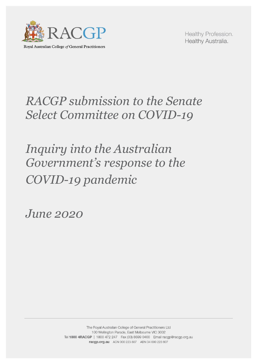

Royal Australian College of General Practitioners

Healthy Profession. Healthy Australia.

# *RACGP submission to the Senate Select Committee on COVID-19*

# *Inquiry into the Australian Government's response to the COVID-19 pandemic*

*June 2020*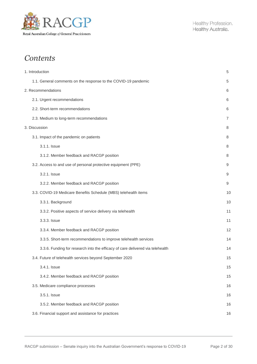

# *Contents*

| 1. Introduction                                                                | 5  |
|--------------------------------------------------------------------------------|----|
| 1.1. General comments on the response to the COVID-19 pandemic                 | 5  |
| 2. Recommendations                                                             | 6  |
| 2.1. Urgent recommendations                                                    | 6  |
| 2.2. Short-term recommendations                                                | 6  |
| 2.3. Medium to long-term recommendations                                       | 7  |
| 3. Discussion                                                                  | 8  |
| 3.1. Impact of the pandemic on patients                                        | 8  |
| 3.1.1. Issue                                                                   | 8  |
| 3.1.2. Member feedback and RACGP position                                      | 8  |
| 3.2. Access to and use of personal protective equipment (PPE)                  | 9  |
| 3.2.1. Issue                                                                   | 9  |
| 3.2.2. Member feedback and RACGP position                                      | 9  |
| 3.3. COVID-19 Medicare Benefits Schedule (MBS) telehealth items                | 10 |
| 3.3.1. Background                                                              | 10 |
| 3.3.2. Positive aspects of service delivery via telehealth                     | 11 |
| 3.3.3. Issue                                                                   | 11 |
| 3.3.4. Member feedback and RACGP position                                      | 12 |
| 3.3.5. Short-term recommendations to improve telehealth services               | 14 |
| 3.3.6. Funding for research into the efficacy of care delivered via telehealth | 14 |
| 3.4. Future of telehealth services beyond September 2020                       | 15 |
| 3.4.1. Issue                                                                   | 15 |
| 3.4.2. Member feedback and RACGP position                                      | 15 |
| 3.5. Medicare compliance processes                                             | 16 |
| 3.5.1. Issue                                                                   | 16 |
| 3.5.2. Member feedback and RACGP position                                      | 16 |
| 3.6. Financial support and assistance for practices                            | 16 |
|                                                                                |    |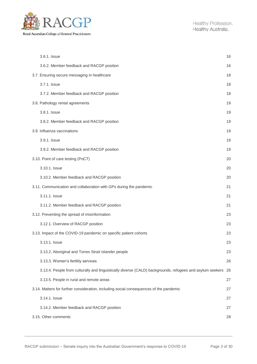

| 3.6.1. Issue                                                                                              | 16 |
|-----------------------------------------------------------------------------------------------------------|----|
| 3.6.2. Member feedback and RACGP position                                                                 | 16 |
| 3.7. Ensuring secure messaging in healthcare                                                              | 18 |
| 3.7.1. Issue                                                                                              | 18 |
| 3.7.2. Member feedback and RACGP position                                                                 | 18 |
| 3.8. Pathology rental agreements                                                                          | 19 |
| 3.8.1. Issue                                                                                              | 19 |
| 3.8.2. Member feedback and RACGP position                                                                 | 19 |
| 3.9. Influenza vaccinations                                                                               | 19 |
| 3.9.1. Issue                                                                                              | 19 |
| 3.9.2. Member feedback and RACGP position                                                                 | 19 |
| 3.10. Point of care testing (PoCT)                                                                        | 20 |
| 3.10.1. Issue                                                                                             | 20 |
| 3.10.2. Member feedback and RACGP position                                                                | 20 |
| 3.11. Communication and collaboration with GPs during the pandemic                                        | 21 |
| 3.11.1. Issue                                                                                             | 21 |
| 3.11.2. Member feedback and RACGP position                                                                | 21 |
| 3.12. Preventing the spread of misinformation                                                             | 23 |
| 3.12.1. Overview of RACGP position                                                                        | 23 |
| 3.13. Impact of the COVID-19 pandemic on specific patient cohorts                                         | 23 |
| 3.13.1. Issue                                                                                             | 23 |
| 3.13.2. Aboriginal and Torres Strait Islander people                                                      | 23 |
| 3.13.3. Women's fertility services                                                                        | 26 |
| 3.13.4. People from culturally and linguistically diverse (CALD) backgrounds, refugees and asylum seekers | 26 |
| 3.13.5. People in rural and remote areas                                                                  | 27 |
| 3.14. Matters for further consideration, including social consequences of the pandemic                    | 27 |
| 3.14.1. Issue                                                                                             | 27 |
| 3.14.2. Member feedback and RACGP position                                                                | 27 |
| 3.15. Other comments                                                                                      | 28 |
|                                                                                                           |    |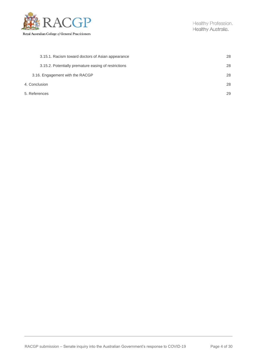

|               | 3.15.1. Racism toward doctors of Asian appearance    | 28 |
|---------------|------------------------------------------------------|----|
|               | 3.15.2. Potentially premature easing of restrictions | 28 |
|               | 3.16. Engagement with the RACGP                      | 28 |
| 4. Conclusion |                                                      | 28 |
| 5. References |                                                      | 29 |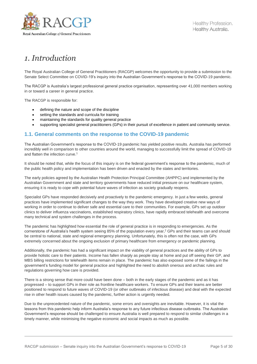

# *1. Introduction*

The Royal Australian College of General Practitioners (RACGP) welcomes the opportunity to provide a submission to the Senate Select Committee on COVID-19's inquiry into the Australian Government's response to the COVID-19 pandemic.

The RACGP is Australia's largest professional general practice organisation, representing over 41,000 members working in or toward a career in general practice.

The RACGP is responsible for:

- defining the nature and scope of the discipline
- setting the standards and curricula for training
- maintaining the standards for quality general practice
- supporting specialist general practitioners (GPs) in their pursuit of excellence in patient and community service.

### **1.1. General comments on the response to the COVID-19 pandemic**

The Australian Government's response to the COVID-19 pandemic has yielded positive results. Australia has performed incredibly well in comparison to other countries around the world, managing to successfully limit the spread of COVID-19 and flatten the infection curve. 1

It should be noted that, while the focus of this inquiry is on the federal government's response to the pandemic, much of the public health policy and implementation has been driven and enacted by the states and territories.

The early policies agreed by the Australian Health Protection Principal Committee (AHPPC) and implemented by the Australian Government and state and territory governments have reduced initial pressure on our healthcare system, ensuring it is ready to cope with potential future waves of infection as society gradually reopens.

Specialist GPs have responded decisively and proactively to the pandemic emergency. In just a few weeks, general practices have implemented significant changes to the way they work. They have developed creative new ways of working in order to continue to deliver safe and essential care to their communities. For example, GPs set up outdoor clinics to deliver influenza vaccinations, established respiratory clinics, have rapidly embraced telehealth and overcome many technical and system challenges in the process.

The pandemic has highlighted how essential the role of general practice is in responding to emergencies. As the cornerstone of Australia's health system seeing 85% of the population every year,<sup>2</sup> GPs and their teams can and should be central to national, state and regional emergency planning. Unfortunately, this is often not the case, with GPs extremely concerned about the ongoing exclusion of primary healthcare from emergency or pandemic planning.

Additionally, the pandemic has had a significant impact on the viability of general practices and the ability of GPs to provide holistic care to their patients. Income has fallen sharply as people stay at home and put off seeing their GP, and MBS billing restrictions for telehealth items remain in place. The pandemic has also exposed some of the failings in the government's funding model for general practice and highlighted the need to abolish onerous and archaic rules and regulations governing how care is provided.

There is a strong sense that more could have been done – both in the early stages of the pandemic and as it has progressed – to support GPs in their role as frontline healthcare workers. To ensure GPs and their teams are better positioned to respond to future waves of COVID-19 (or other outbreaks of infectious disease) and deal with the expected rise in other health issues caused by the pandemic, further action is urgently needed.

Due to the unprecedented nature of the pandemic, some errors and oversights are inevitable. However, it is vital the lessons from this pandemic help inform Australia's response to any future infectious disease outbreaks. The Australian Government's response should be challenged to ensure Australia is well prepared to respond to similar challenges in a timely manner, while minimising the negative economic and social impacts as much as possible.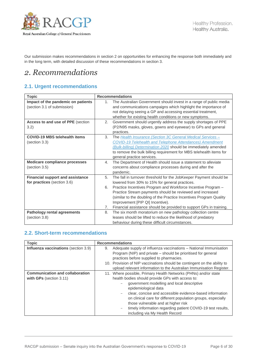

Our submission makes recommendations in section 2 on opportunities for enhancing the response both immediately and in the long term, with detailed discussion of these recommendations in section 3.

# *2. Recommendations*

# **2.1. Urgent recommendations**

| <b>Topic</b>                                                           | <b>Recommendations</b>                                                                                                                                                                                                                                                                                                                                                                                                                                 |  |
|------------------------------------------------------------------------|--------------------------------------------------------------------------------------------------------------------------------------------------------------------------------------------------------------------------------------------------------------------------------------------------------------------------------------------------------------------------------------------------------------------------------------------------------|--|
| Impact of the pandemic on patients<br>(section 3.1 of submission)      | The Australian Government should invest in a range of public media<br>1.<br>and communications campaigns which highlight the importance of<br>not delaying seeing a GP and accessing essential treatment,<br>whether for existing health conditions or new symptoms.                                                                                                                                                                                   |  |
| Access to and use of PPE (section<br>3.2)                              | Government should urgently address the supply shortages of PPE<br>2.<br>(P2/N95 masks, gloves, gowns and eyewear) to GPs and general<br>practices.                                                                                                                                                                                                                                                                                                     |  |
| <b>COVID-19 MBS telehealth items</b><br>(section 3.3)                  | 3.<br>The Health Insurance (Section 3C General Medical Services -<br><b>COVID-19 Telehealth and Telephone Attendances) Amendment</b><br>(Bulk-billing) Determination 2020 should be immediately amended<br>to remove the bulk billing requirement for MBS telehealth items for<br>general practice services.                                                                                                                                           |  |
| <b>Medicare compliance processes</b><br>(section 3.5)                  | The Department of Health should issue a statement to alleviate<br>4.<br>concerns about compliance processes during and after the<br>pandemic.                                                                                                                                                                                                                                                                                                          |  |
| <b>Financial support and assistance</b><br>for practices (section 3.6) | 5.<br>The fall in turnover threshold for the JobKeeper Payment should be<br>lowered from 30% to 15% for general practices.<br>Practice Incentives Program and Workforce Incentive Program -<br>6.<br>Practice Stream payments should be reviewed and increased<br>(similar to the doubling of the Practice Incentives Program Quality<br>Improvement [PIP QI] Incentive).<br>Financial assistance should be provided to support GPs in training.<br>7. |  |
| <b>Pathology rental agreements</b><br>(section 3.8)                    | The six month moratorium on new pathology collection centre<br>8.<br>leases should be lifted to reduce the likelihood of predatory<br>behaviour during these difficult circumstances.                                                                                                                                                                                                                                                                  |  |

### **2.2. Short-term recommendations**

| <b>Topic</b>                                                      | <b>Recommendations</b>                                                                                                                                                                                                                                                                                                                                                                                                                                        |
|-------------------------------------------------------------------|---------------------------------------------------------------------------------------------------------------------------------------------------------------------------------------------------------------------------------------------------------------------------------------------------------------------------------------------------------------------------------------------------------------------------------------------------------------|
| Influenza vaccinations (section 3.9)                              | Adequate supply of influenza vaccinations - National Immunisation<br>9.<br>Program (NIP) and private – should be prioritised for general<br>practices before supplied to pharmacies.<br>10. Provision of NIP vaccinations should be contingent on the ability to<br>upload relevant information to the Australian Immunisation Register.                                                                                                                      |
| <b>Communication and collaboration</b><br>with GPs (section 3.11) | 11. Where possible, Primary Health Networks (PHNs) and/or state<br>health bodies should provide GPs with access to:<br>government modelling and local descriptive<br>epidemiological data<br>clear, concise and accessible evidence-based information<br>on clinical care for different population groups, especially<br>those vulnerable and at higher risk<br>timely information regarding patient COVID-19 test results,<br>including via My Health Record |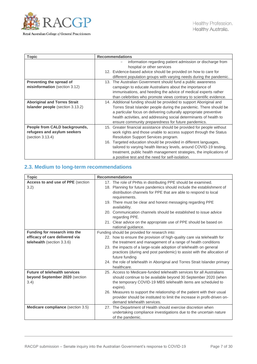

| <b>Topic</b>                            | <b>Recommendations</b>                                                 |
|-----------------------------------------|------------------------------------------------------------------------|
|                                         | information regarding patient admission or discharge from              |
|                                         | hospital or other services                                             |
|                                         | 12. Evidence-based advice should be provided on how to care for        |
|                                         | different population groups with varying needs during the pandemic.    |
| Preventing the spread of                | 13. The Australian Government should fund a public awareness           |
| misinformation (section 3.12)           | campaign to educate Australians about the importance of                |
|                                         | immunisations, and heeding the advice of medical experts rather        |
|                                         | than celebrities who promote views contrary to scientific evidence.    |
| <b>Aboriginal and Torres Strait</b>     | 14. Additional funding should be provided to support Aboriginal and    |
| <b>Islander people</b> (section 3.13.2) | Torres Strait Islander people during the pandemic. There should be     |
|                                         | a particular focus on delivering culturally appropriate preventive     |
|                                         | health activities, and addressing social determinants of health to     |
|                                         | ensure community preparedness for future pandemics.                    |
| People from CALD backgrounds,           | 15. Greater financial assistance should be provided for people without |
| refugees and asylum seekers             | work rights and those unable to access support through the Status      |
| (section 3.13.4)                        | Resolution Support Services program.                                   |
|                                         | 16. Targeted education should be provided in different languages,      |
|                                         | tailored to varying health literacy levels, around COVID-19 testing,   |
|                                         | treatment, public health management strategies, the implications of    |
|                                         | a positive test and the need for self-isolation.                       |

# **2.3. Medium to long-term recommendations**

| <b>Topic</b>                                                                                  | <b>Recommendations</b>                                                                                                                                                                                                                                                                                                                                                                                                                                                                    |
|-----------------------------------------------------------------------------------------------|-------------------------------------------------------------------------------------------------------------------------------------------------------------------------------------------------------------------------------------------------------------------------------------------------------------------------------------------------------------------------------------------------------------------------------------------------------------------------------------------|
| Access to and use of PPE (section<br>3.2)                                                     | 17. The role of PHNs in distributing PPE should be examined.<br>18. Planning for future pandemics should include the establishment of<br>distribution channels for PPE that are able to respond to local<br>requirements.<br>19. There must be clear and honest messaging regarding PPE<br>availability.<br>20. Communication channels should be established to issue advice<br>regarding PPE.<br>21. Clear advice on the appropriate use of PPE should be based on<br>national guidance. |
| Funding for research into the<br>efficacy of care delivered via<br>telehealth (section 3.3.6) | Funding should be provided for research into:<br>22. how to ensure the provision of high-quality care via telehealth for<br>the treatment and management of a range of health conditions<br>23. the impacts of a large-scale adoption of telehealth on general<br>practices (during and post pandemic) to assist with the allocation of<br>future funding<br>24. the role of telehealth in Aboriginal and Torres Strait Islander primary<br>healthcare.                                   |
| <b>Future of telehealth services</b><br>beyond September 2020 (section<br>3.4)                | 25. Access to Medicare-funded telehealth services for all Australians<br>should continue to be available beyond 30 September 2020 (when<br>the temporary COVID-19 MBS telehealth items are scheduled to<br>expire).<br>26. Measures to support the relationship of the patient with their usual<br>provider should be instituted to limit the increase in profit-driven on-<br>demand telehealth services.                                                                                |
| Medicare compliance (section 3.5)                                                             | 27. The Department of Health should exercise discretion when<br>undertaking compliance investigations due to the uncertain nature<br>of the pandemic.                                                                                                                                                                                                                                                                                                                                     |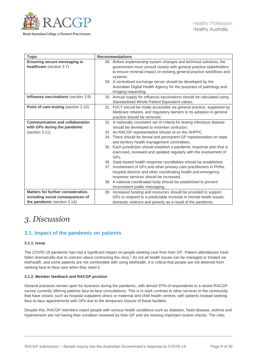

| <b>Topic</b>                                | <b>Recommendations</b>                                                                                                   |
|---------------------------------------------|--------------------------------------------------------------------------------------------------------------------------|
| Ensuring secure messaging in                | 28. Before implementing system changes and technical solutions, the                                                      |
| healthcare (section 3.7)                    | government must consult closely with general practice stakeholders                                                       |
|                                             | to ensure minimal impact on existing general practice workflows and                                                      |
|                                             | systems.                                                                                                                 |
|                                             | 29. A centralised exchange server should be developed by the                                                             |
|                                             | Australian Digital Health Agency for the purposes of pathology and                                                       |
|                                             | imaging requesting.                                                                                                      |
| Influenza vaccinations (section 3.9)        | 30. Annual supply for influenza vaccinations should be calculated using<br>Standardised Whole Patient Equivalent values. |
| <b>Point of care testing (section 3.10)</b> | 31. PoCT should be made accessible via general practice, supported by                                                    |
|                                             | Medicare rebates, and regulatory barriers to its adoption in general                                                     |
|                                             | practice should be removed.                                                                                              |
| <b>Communication and collaboration</b>      | 32. A nationally consistent set of criteria for testing infectious disease                                               |
| with GPs during the pandemic                | should be developed to minimise confusion.                                                                               |
| (section 3.11)                              | 33. An RACGP representative should sit on the AHPPC.                                                                     |
|                                             | 34. There should be formal and permanent GP representation on state                                                      |
|                                             | and territory health management committees.                                                                              |
|                                             | 35. Each jurisdiction should establish a pandemic response plan that is                                                  |
|                                             | exercised, reviewed and updated regularly with the involvement of<br>GPs.                                                |
|                                             | 36. State-based health response roundtables should be established.                                                       |
|                                             | 37. Involvement of GPs and other primary care practitioners in PHNs,                                                     |
|                                             | hospital districts and other coordinating health and emergency                                                           |
|                                             | response services should be increased.                                                                                   |
|                                             | 38. A national coordinated body should be established to prevent                                                         |
|                                             | inconsistent public messaging.                                                                                           |
| Matters for further consideration,          | 39. Increased funding and resources should be provided to support                                                        |
| including social consequences of            | GPs to respond to a predictable increase in mental health issues,                                                        |
| the pandemic (section 3.14)                 | domestic violence and poverty as a result of the pandemic.                                                               |

# *3. Discussion*

# **3.1. Impact of the pandemic on patients**

#### **3.1.1. Issue**

The COVID-19 pandemic has had a significant impact on people seeking care from their GP. Patient attendances have fallen dramatically due to concern about contracting the virus.<sup>3</sup> As not all health issues can be managed or treated via telehealth, and some patients are not comfortable with using telehealth, it is critical that people are not deterred from seeking face-to-face care when they need it.

#### **3.1.2. Member feedback and RACGP position**

General practices remain open for business during the pandemic, with almost 97% of respondents to a recent RACGP survey currently offering patients face-to-face consultations. This is in stark contrast to other services in the community that have closed, such as hospital outpatient clinics or maternal and child health centres, with patients instead seeking face-to-face appointments with GPs due to the temporary closure of these facilities.

Despite this, RACGP members report people with serious health conditions such as diabetes, heart disease, asthma and hypertension are not having their condition reviewed by their GP and are missing important routine checks. The risks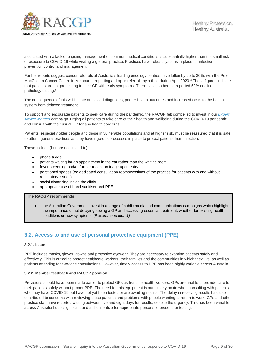

associated with a lack of ongoing management of common medical conditions is substantially higher than the small risk of exposure to COVID-19 while visiting a general practice. Practices have robust systems in place for infection prevention control and management.

Further reports suggest cancer referrals at Australia's leading oncology centres have fallen by up to 30%, with the Peter MacCallum Cancer Centre in Melbourne reporting a drop in referrals by a third during April 2020.<sup>4</sup> These figures indicate that patients are not presenting to their GP with early symptoms. There has also been a reported 50% decline in pathology testing.<sup>4</sup>

The consequence of this will be late or missed diagnoses, poorer health outcomes and increased costs to the health system from delayed treatment.

To support and encourage patients to seek care during the pandemic, the RACGP felt compelled to invest in our *[Expert](http://www.expertadvicematters.com.au/)  [Advice Matters](http://www.expertadvicematters.com.au/)* campaign, urging all patients to take care of their health and wellbeing during the COVID-19 pandemic and consult with their usual GP for any health concerns.

Patients, especially older people and those in vulnerable populations and at higher risk, must be reassured that it is safe to attend general practices as they have rigorous processes in place to protect patients from infection.

These include (but are not limited to):

- phone triage
- patients waiting for an appointment in the car rather than the waiting room
- fever screening and/or further reception triage upon entry
- partitioned spaces (eg dedicated consultation rooms/sections of the practice for patients with and without respiratory issues)
- social distancing inside the clinic
- appropriate use of hand sanitiser and PPE.

#### **The RACGP recommends:**

 the Australian Government invest in a range of public media and communications campaigns which highlight the importance of not delaying seeing a GP and accessing essential treatment, whether for existing health conditions or new symptoms. *(Recommendation 1)*

# **3.2. Access to and use of personal protective equipment (PPE)**

#### **3.2.1. Issue**

PPE includes masks, gloves, gowns and protective eyewear. They are necessary to examine patients safely and effectively. This is critical to protect healthcare workers, their families and the communities in which they live, as well as patients attending face-to-face consultations. However, timely access to PPE has been highly variable across Australia.

#### **3.2.2. Member feedback and RACGP position**

Provisions should have been made earlier to protect GPs as frontline health workers. GPs are unable to provide care to their patients safely without proper PPE. The need for this equipment is particularly acute when consulting with patients who may have COVID-19 but have not yet been tested or are awaiting results. The delay in receiving results has also contributed to concerns with reviewing these patients and problems with people wanting to return to work. GPs and other practice staff have reported waiting between five and eight days for results, despite the urgency. This has been variable across Australia but is significant and a disincentive for appropriate persons to present for testing.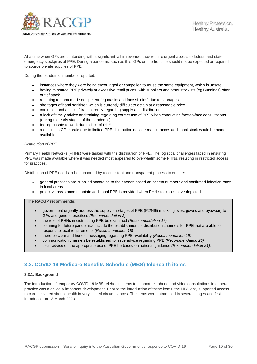

At a time when GPs are contending with a significant fall in revenue, they require urgent access to federal and state emergency stockpiles of PPE. During a pandemic such as this, GPs on the frontline should not be expected or required to source private supplies of PPE.

During the pandemic, members reported:

- instances where they were being encouraged or compelled to reuse the same equipment, which is unsafe
- having to source PPE privately at excessive retail prices, with suppliers and other stockists (eg Bunnings) often out of stock
- resorting to homemade equipment (eg masks and face shields) due to shortages
- shortages of hand sanitiser, which is currently difficult to obtain at a reasonable price
- confusion and a lack of transparency regarding supply and distribution
- a lack of timely advice and training regarding correct use of PPE when conducting face-to-face consultations (during the early stages of the pandemic)
- feeling unsafe to work due to lack of PPE
- a decline in GP morale due to limited PPE distribution despite reassurances additional stock would be made available.

#### *Distribution of PPE*

Primary Health Networks (PHNs) were tasked with the distribution of PPE. The logistical challenges faced in ensuring PPE was made available where it was needed most appeared to overwhelm some PHNs, resulting in restricted access for practices.

Distribution of PPE needs to be supported by a consistent and transparent process to ensure:

- general practices are supplied according to their needs based on patient numbers and confirmed infection rates in local areas
- proactive assistance to obtain additional PPE is provided when PHN stockpiles have depleted.

**The RACGP recommends:**

- government urgently address the supply shortages of PPE (P2/N95 masks, gloves, gowns and eyewear) to GPs and general practices *(Recommendation 2)*
- the role of PHNs in distributing PPE be examined *(Recommendation 17)*
- planning for future pandemics include the establishment of distribution channels for PPE that are able to respond to local requirements *(Recommendation 18)*
- there be clear and honest messaging regarding PPE availability *(Recommendation 19)*
- communication channels be established to issue advice regarding PPE *(Recommendation 20)*
- clear advice on the appropriate use of PPE be based on national guidance *(Recommendation 21)*.

# **3.3. COVID-19 Medicare Benefits Schedule (MBS) telehealth items**

#### **3.3.1. Background**

The introduction of temporary COVID-19 MBS telehealth items to support telephone and video consultations in general practice was a critically important development. Prior to the introduction of these items, the MBS only supported access to care delivered via telehealth in very limited circumstances. The items were introduced in several stages and first introduced on 13 March 2020.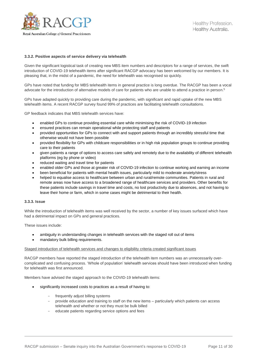

#### **3.3.2. Positive aspects of service delivery via telehealth**

Given the significant logistical task of creating new MBS item numbers and descriptors for a range of services, the swift introduction of COVID-19 telehealth items after significant RACGP advocacy has been welcomed by our members. It is pleasing that, in the midst of a pandemic, the need for telehealth was recognised so quickly.

GPs have noted that funding for MBS telehealth items in general practice is long overdue. The RACGP has been a vocal advocate for the introduction of alternative models of care for patients who are unable to attend a practice in person.<sup>5</sup>

GPs have adapted quickly to providing care during the pandemic, with significant and rapid uptake of the new MBS telehealth items. A recent RACGP survey found 99% of practices are facilitating telehealth consultations.

GP feedback indicates that MBS telehealth services have:

- enabled GPs to continue providing essential care while minimising the risk of COVID-19 infection
- ensured practices can remain operational while protecting staff and patients
- provided opportunities for GPs to connect with and support patients through an incredibly stressful time that otherwise would not have been possible
- provided flexibility for GPs with childcare responsibilities or in high risk population groups to continue providing care to their patients
- given patients a range of options to access care safely and remotely due to the availability of different telehealth platforms (eg by phone or video)
- reduced waiting and travel time for patients
- enabled older GPs and those at greater risk of COVID-19 infection to continue working and earning an income
- been beneficial for patients with mental health issues, particularly mild to moderate anxiety/stress
- helped to equalise access to healthcare between urban and rural/remote communities. Patients in rural and remote areas now have access to a broadened range of healthcare services and providers. Other benefits for these patients include savings in travel time and costs, no lost productivity due to absences, and not having to leave their home or farm, which in some cases might be detrimental to their health.

#### **3.3.3. Issue**

While the introduction of telehealth items was well received by the sector, a number of key issues surfaced which have had a detrimental impact on GPs and general practices.

These issues include:

- ambiguity in understanding changes in telehealth services with the staged roll out of items
- mandatory bulk billing requirements.

#### Staged introduction of telehealth services and changes to eligibility criteria created significant issues

RACGP members have reported the staged introduction of the telehealth item numbers was an unnecessarily overcomplicated and confusing process. 'Whole of population' telehealth services should have been introduced when funding for telehealth was first announced.

Members have advised the staged approach to the COVID-19 telehealth items:

- significantly increased costs to practices as a result of having to:
	- frequently adjust billing systems
	- provide education and training to staff on the new items particularly which patients can access telehealth and whether or not they must be bulk billed
	- educate patients regarding service options and fees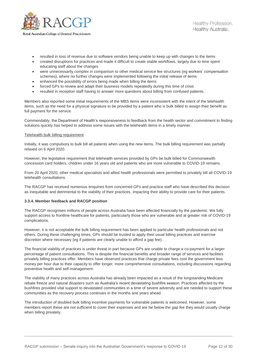

- resulted in loss of revenue due to software vendors being unable to keep up with changes to the items
- created disruptions for practices and made it difficult to create stable workflows, largely due to time spent educating staff about the changes
- were unnecessarily complex in comparison to other medical service fee structures (eg workers' compensation schemes), where no further changes were implemented following the initial release of items
- enhanced the possibility of errors being made when billing the items
- forced GPs to review and adapt their business models repeatedly during this time of crisis
- resulted in reception staff having to answer more questions about billing from confused patients.

Members also reported some initial requirements of the MBS items were inconsistent with the intent of the telehealth items, such as the need for a physical signature to be provided by a patient who is bulk billed to assign their benefit as full payment for the service.

Commendably, the Department of Health's responsiveness to feedback from the health sector and commitment to finding solutions quickly has helped to address some issues with the telehealth items in a timely manner.

#### Telehealth bulk billing requirement

Initially, it was compulsory to bulk bill all patients when using the new items. The bulk billing requirement was partially relaxed on 6 April 2020.

However, the legislative requirement that telehealth services provided by GPs be bulk billed for Commonwealth concession card holders, children under 16 years old and patients who are more vulnerable to COVID-19 remains.

From 20 April 2020, other medical specialists and allied health professionals were permitted to privately bill all COVID-19 telehealth consultations.

The RACGP has received numerous enquiries from concerned GPs and practice staff who have described this decision as inequitable and detrimental to the viability of their practices, impacting their ability to provide care for their patients.

#### **3.3.4. Member feedback and RACGP position**

The RACGP recognises millions of people across Australia have been affected financially by the pandemic. We fully support access to frontline healthcare for patients, particularly those who are vulnerable and at greater risk of COVID-19 complications.

However, it is not acceptable the bulk billing requirement has been applied to particular health professionals and not others. During these challenging times, GPs should be trusted to apply their usual billing practices and exercise discretion where necessary (eg if patients are clearly unable to afford a gap fee).

The financial viability of practices is under threat in part because GPs are unable to charge a co-payment for a larger percentage of patient consultations. This is despite the financial benefits and broader range of services and facilities privately billing practices offer. Members have observed practices that charge private fees cost the government less money per hour due to their capacity to offer longer, more comprehensive consultations, including discussions regarding preventive health and self-management.

The viability of many practices across Australia has already been impacted as a result of the longstanding Medicare rebate freeze and natural disasters such as Australia's recent devastating bushfire season. Practices affected by the bushfires provided vital support to devastated communities in a time of severe adversity and are needed to support these communities as the recovery process continues in the months and years ahead.

The introduction of doubled bulk billing incentive payments for vulnerable patients is welcomed. However, some members report these are not sufficient to cover their expenses and are far below the gap fee they would usually charge when billing privately.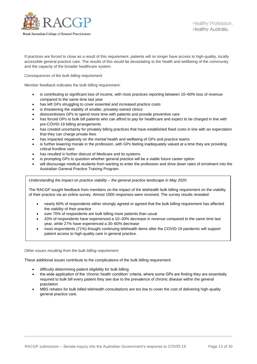

If practices are forced to close as a result of this requirement, patients will no longer have access to high-quality, locally accessible general practice care. The results of this would be devastating to the health and wellbeing of the community and the capacity of the broader healthcare system.

*Consequences of the bulk billing requirement*

Member feedback indicates the bulk billing requirement:

- is contributing to significant loss of income, with most practices reporting between 10–60% loss of revenue compared to the same time last year
- has left GPs struggling to cover essential and increased practice costs
- is threatening the viability of smaller, privately-owned clinics
- disincentivises GPs to spend more time with patients and provide preventive care
- has forced GPs to bulk bill patients who can afford to pay for healthcare and expect to be charged in line with pre-COVID-19 billing arrangements
- has created uncertainty for privately billing practices that have established fixed costs in line with an expectation that they can charge private fees
- has impacted negatively on the mental health and wellbeing of GPs and practice teams
- is further lowering morale in the profession, with GPs feeling inadequately valued at a time they are providing critical frontline care
- has resulted in further distrust of Medicare and its systems
- is prompting GPs to question whether general practice will be a viable future career option
- will discourage medical students from wanting to enter the profession and drive down rates of enrolment into the Australian General Practice Training Program.

*Understanding the impact on practice viability – the general practice landscape in May 2020*

The RACGP sought feedback from members on the impact of the telehealth bulk billing requirement on the viability of their practice via an online survey. Almost 1000 responses were received. The survey results revealed:

- nearly 60% of respondents either strongly agreed or agreed that the bulk billing requirement has affected the viability of their practice
- over 70% of respondents are bulk billing more patients than usual
- 43% of respondents have experienced a 10–30% decrease in revenue compared to the same time last year, while 27% have experienced a 30–60% decrease
- most respondents (71%) thought continuing telehealth items after the COVID-19 pandemic will support patient access to high-quality care in general practice.

#### *Other issues resulting from the bulk billing requirement*

These additional issues contribute to the complications of the bulk billing requirement:

- difficulty determining patient eligibility for bulk billing
- the wide application of the 'chronic health condition' criteria, where some GPs are finding they are essentially required to bulk bill every patient they see due to the prevalence of chronic disease within the general population
- MBS rebates for bulk billed telehealth consultations are too low to cover the cost of delivering high-quality general practice care.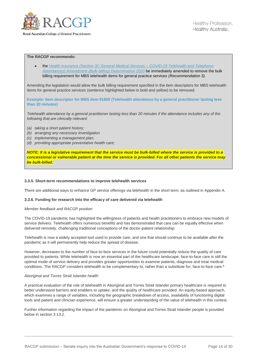

#### **The RACGP recommends:**

 the *[Health Insurance \(Section 3C General Medical Services –](https://www.legislation.gov.au/Details/F2020L00404) COVID-19 Telehealth and Telephone [Attendances\) Amendment \(Bulk-billing\) Determination 2020](https://www.legislation.gov.au/Details/F2020L00404)* be immediately amended to remove the bulk billing requirement for MBS telehealth items for general practice services *(Recommendation 3)*.

Amending the legislation would allow the bulk billing requirement specified in the item descriptors for MBS telehealth items for general practice services (sentence highlighted below in bold and yellow) to be removed.

**Example: Item descriptor for MBS item 91800 (Telehealth attendance by a general practitioner lasting less than 20 minutes)**

Telehealth attendance by a general practitioner lasting less than 20 minutes if the attendance includes any of the *following that are clinically relevant:*

- *(a) taking a short patient history;*
- *(b) arranging any necessary investigation*
- *(c) implementing a management plan;*
- *(d) providing appropriate preventative health care;*

*NOTE: It is a legislative requirement that the service must be bulk-billed where the service is provided to a concessional or vulnerable patient at the time the service is provided. For all other patients the service may be bulk-billed.*

#### **3.3.5. Short-term recommendations to improve telehealth services**

There are additional ways to enhance GP service offerings via telehealth in the short term, as outlined in Appendix A.

#### **3.3.6. Funding for research into the efficacy of care delivered via telehealth**

#### *Member feedback and RACGP position*

The COVID-19 pandemic has highlighted the willingness of patients and health practitioners to embrace new models of service delivery. Telehealth offers numerous benefits and has demonstrated that care can be equally effective when delivered remotely, challenging traditional conceptions of the doctor-patient relationship.

Telehealth is now a widely accepted tool used to provide care, and one that should continue to be available after the pandemic as it will permanently help reduce the spread of disease.

However, decreases to the number of face-to-face services in the future could potentially reduce the quality of care provided to patients. While telehealth is now an essential part of the healthcare landscape, face-to-face care is still the optimal mode of service delivery and provides greater opportunities to examine patients, diagnose and treat medical conditions. The RACGP considers telehealth to be complementary to, rather than a substitute for, face-to-face care.<sup>6</sup>

#### *Aboriginal and Torres Strait Islander health*

A practical evaluation of the role of telehealth in Aboriginal and Torres Strait Islander primary healthcare is required to better understand barriers and enablers to uptake, and the quality of healthcare provided. An equity-based approach, which examines a range of variables, including the geographic breakdown of access, availability of functioning digital tools and patient and clinician experience, will ensure a greater understanding of the value of telehealth in this context.

Further information regarding the impact of the pandemic on Aboriginal and Torres Strait Islander people is provided below in section 3.13.2.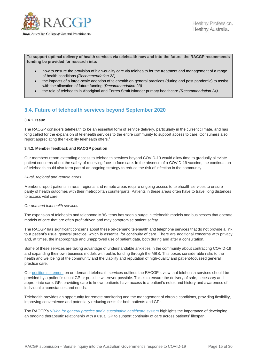

**To support optimal delivery of health services via telehealth now and into the future, the RACGP recommends funding be provided for research into:**

- how to ensure the provision of high-quality care via telehealth for the treatment and management of a range of health conditions *(Recommendation 22)*
- the impacts of a large-scale adoption of telehealth on general practices (during and post pandemic) to assist with the allocation of future funding *(Recommendation 23)*
- the role of telehealth in Aboriginal and Torres Strait Islander primary healthcare *(Recommendation 24)*.

# **3.4. Future of telehealth services beyond September 2020**

#### **3.4.1. Issue**

The RACGP considers telehealth to be an essential form of service delivery, particularly in the current climate, and has long called for the expansion of telehealth services to the entire community to support access to care. Consumers also report appreciating the flexibility telehealth offers.<sup>7</sup>

#### **3.4.2. Member feedback and RACGP position**

Our members report extending access to telehealth services beyond COVID-19 would allow time to gradually alleviate patient concerns about the safety of receiving face-to-face care. In the absence of a COVID-19 vaccine, the continuation of telehealth could also form part of an ongoing strategy to reduce the risk of infection in the community.

#### *Rural, regional and remote areas*

Members report patients in rural, regional and remote areas require ongoing access to telehealth services to ensure parity of health outcomes with their metropolitan counterparts. Patients in these areas often have to travel long distances to access vital care.

#### *On-demand telehealth services*

The expansion of telehealth and telephone MBS items has seen a surge in telehealth models and businesses that operate models of care that are often profit-driven and may compromise patient safety.

The RACGP has significant concerns about these on-demand telehealth and telephone services that do not provide a link to a patient's usual general practice, which is essential for continuity of care. There are additional concerns with privacy and, at times, the inappropriate and unapproved use of patient data, both during and after a consultation.

Some of these services are taking advantage of understandable anxieties in the community about contracting COVID-19 and expanding their own business models with public funding through the MBS. This poses considerable risks to the health and wellbeing of the community and the viability and reputation of high-quality and patient-focussed general practice care.

Our [position statement](https://www.racgp.org.au/advocacy/position-statements/view-all-position-statements/health-systems-and-environmental/on-demand-telehealth-services) on on-demand telehealth services outlines the RACGP's view that telehealth services should be provided by a patient's usual GP or practice wherever possible. This is to ensure the delivery of safe, necessary and appropriate care. GPs providing care to known patients have access to a patient's notes and history and awareness of individual circumstances and needs.

Telehealth provides an opportunity for remote monitoring and the management of chronic conditions, providing flexibility, improving convenience and potentially reducing costs for both patients and GPs.

The RACGP's *[Vision for general practice and a sustainable healthcare system](https://www.racgp.org.au/getattachment/e8ad4284-34d3-48ca-825e-45d58b2d49da/The-Vision-for-general-practice.aspx)* highlights the importance of developing an ongoing therapeutic relationship with a usual GP to support continuity of care across patients' lifespan.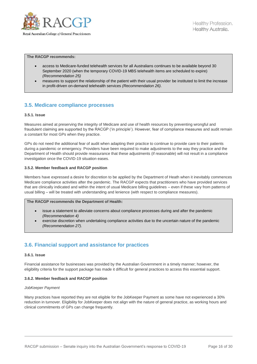

**The RACGP recommends:**

- access to Medicare-funded telehealth services for all Australians continues to be available beyond 30 September 2020 (when the temporary COVID-19 MBS telehealth items are scheduled to expire) *(Recommendation 25)*
- measures to support the relationship of the patient with their usual provider be instituted to limit the increase in profit-driven on-demand telehealth services *(Recommendation 26)*.

## **3.5. Medicare compliance processes**

#### **3.5.1. Issue**

Measures aimed at preserving the integrity of Medicare and use of health resources by preventing wrongful and fraudulent claiming are supported by the RACGP ('in principle'). However, fear of compliance measures and audit remain a constant for most GPs when they practice.

GPs do not need the additional fear of audit when adapting their practice to continue to provide care to their patients during a pandemic or emergency. Providers have been required to make adjustments to the way they practice and the Department of Health should provide reassurance that these adjustments (if reasonable) will not result in a compliance investigation once the COVID-19 situation eases.

#### **3.5.2. Member feedback and RACGP position**

Members have expressed a desire for discretion to be applied by the Department of Heath when it inevitably commences Medicare compliance activities after the pandemic. The RACGP expects that practitioners who have provided services that are clinically indicated and within the intent of usual Medicare billing guidelines – even if these vary from patterns of usual billing – will be treated with understanding and lenience (with respect to compliance measures).

#### **The RACGP recommends the Department of Health:**

- issue a statement to alleviate concerns about compliance processes during and after the pandemic *(Recommendation 4)*
- exercise discretion when undertaking compliance activities due to the uncertain nature of the pandemic *(Recommendation 27)*.

# **3.6. Financial support and assistance for practices**

#### **3.6.1. Issue**

Financial assistance for businesses was provided by the Australian Government in a timely manner; however, the eligibility criteria for the support package has made it difficult for general practices to access this essential support.

#### **3.6.2. Member feedback and RACGP position**

#### *JobKeeper Payment*

Many practices have reported they are not eligible for the JobKeeper Payment as some have not experienced a 30% reduction in turnover. Eligibility for JobKeeper does not align with the nature of general practice, as working hours and clinical commitments of GPs can change frequently.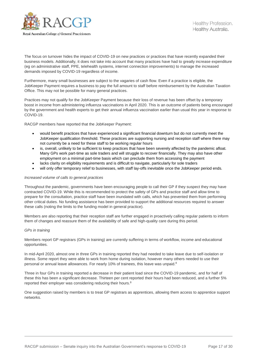

The focus on turnover hides the impact of COVID-19 on new practices or practices that have recently expanded their business models. Additionally, it does not take into account that many practices have had to greatly increase expenditure (eg on administrative staff, PPE, telehealth systems, internet connection improvements) to manage the increased demands imposed by COVID-19 regardless of income.

Furthermore, many small businesses are subject to the vagaries of cash flow. Even if a practice is eligible, the JobKeeper Payment requires a business to pay the full amount to staff before reimbursement by the Australian Taxation Office. This may not be possible for many general practices.

Practices may not qualify for the JobKeeper Payment because their loss of revenue has been offset by a temporary boost in income from administering influenza vaccinations in April 2020. This is an outcome of patients being encouraged by the government and health experts to get their annual influenza vaccination earlier than usual this year in response to COVID-19.

RACGP members have reported that the JobKeeper Payment:

- would benefit practices that have experienced a significant financial downturn but do not currently meet the JobKeeper qualification threshold. These practices are supporting nursing and reception staff where there may not currently be a need for these staff to be working regular hours
- is, overall, unlikely to be sufficient to keep practices that have been severely affected by the pandemic afloat. Many GPs work part-time as sole traders and will struggle to recover financially. They may also have other employment on a minimal part-time basis which can preclude them from accessing the payment
- lacks clarity on eligibility requirements and is difficult to navigate, particularly for sole traders
- will only offer temporary relief to businesses, with staff lay-offs inevitable once the JobKeeper period ends.

#### *Increased volume of calls to general practices*

Throughout the pandemic, governments have been encouraging people to call their GP if they suspect they may have contracted COVID-19. While this is recommended to protect the safety of GPs and practice staff and allow time to prepare for the consultation, practice staff have been inundated with calls, which has prevented them from performing other critical duties. No funding assistance has been provided to support the additional resources required to answer these calls (noting the limits to the funding model in general practice).

Members are also reporting that their reception staff are further engaged in proactively calling regular patients to inform them of changes and reassure them of the availability of safe and high-quality care during this period.

#### *GPs in training*

Members report GP registrars (GPs in training) are currently suffering in terms of workflow, income and educational opportunities.

<span id="page-16-0"></span>In mid-April 2020, almost one in three GPs in training reported they had needed to take leave due to self-isolation or illness. Some report they were able to work from home during isolation, however many others needed to use their personal or annual leave allowances. For nearly 10% of trainees, this leave was unpaid.<sup>8</sup>

Three in four GPs in training reported a decrease in their patient load since the COVID-19 pandemic, and for half of these this has been a significant decrease. Thirteen per cent reported their hours had been reduced, and a further 5% reported their employer was considering reducing their hours.<sup>[8](#page-16-0)</sup>

One suggestion raised by members is to treat GP registrars as apprentices, allowing them access to apprentice support networks.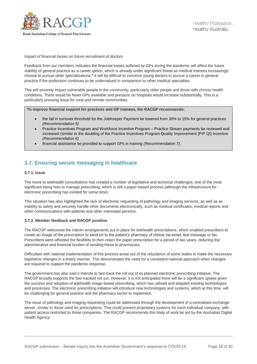

#### *Impact of financial losses on future recruitment of doctors*

Feedback from our members indicates the financial losses suffered by GPs during the pandemic will affect the future viability of general practice as a career option, which is already under significant threat as medical trainees increasingly choose to pursue other specialisations.<sup>9</sup> It will be difficult to convince young doctors to pursue a career in general practice if the profession continues to be undervalued in comparison to other medical specialties.

This will severely impact vulnerable people in the community, particularly older people and those with chronic health conditions. There would be fewer GPs available and pressure on hospitals would increase substantially. This is a particularly pressing issue for rural and remote communities.

**To improve financial support for practices and GP trainees, the RACGP recommends:**

- the fall in turnover threshold for the JobKeeper Payment be lowered from 30% to 15% for general practices *(Recommendation 5)*
- Practice Incentives Program and Workforce Incentive Program Practice Stream payments be reviewed and increased (similar to the doubling of the Practice Incentives Program Quality Improvement [PIP QI] Incentive *(Recommendation 6)*
- financial assistance be provided to support GPs in training *(Recommendation 7)*.

### **3.7. Ensuring secure messaging in healthcare**

#### **3.7.1. Issue**

The move to telehealth consultations has created a number of legislative and technical challenges, one of the most significant being how to manage prescribing, which is still a paper-based process (although the infrastructure for electronic prescribing has existed for some time).

This situation has also highlighted the lack of electronic requesting of pathology and imaging services, as well as an inability to safely and securely handle other documents electronically, such as medical certificates, medical reports and other communications with patients and other interested persons.

#### **3.7.2. Member feedback and RACGP position**

The RACGP welcomed the interim arrangements put in place for telehealth prescriptions, which enabled prescribers to create an image of the prescription to send on to the patient's pharmacy of choice via email, text message or fax. Prescribers were afforded the flexibility to then retain the paper prescription for a period of two years, reducing the administrative and financial burden of sending these to pharmacies.

Difficulties with national implementation of this process arose out of the reluctance of some states to make the necessary legislative changes in a timely manner. This demonstrates the need for a consistent national approach when changes are required to support the pandemic response.

The government has also said it intends to fast-track the roll out of its planned electronic prescribing initiative. The RACGP broadly supports the fast-tracked roll out. However, it is not anticipated there will be a significant uptake given the success and adoption of telehealth image-based prescribing, which has utilised and adapted existing technologies and processes. The electronic prescribing initiative will introduce new technologies and systems, which at this time, will be challenging for general practice and the pharmacy sector to implement.

The issue of pathology and imaging requesting could be addressed through the development of a centralised exchange server, similar to those used for prescriptions. This could prevent proprietary systems for each individual company, with patient access restricted to those companies. The RACGP recommends this body of work be led by the Australian Digital Health Agency.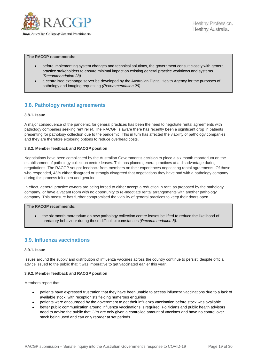

**The RACGP recommends:**

- before implementing system changes and technical solutions, the government consult closely with general practice stakeholders to ensure minimal impact on existing general practice workflows and systems *(Recommendation 28)*
- a centralised exchange server be developed by the Australian Digital Health Agency for the purposes of pathology and imaging requesting *(Recommendation 29)*.

# **3.8. Pathology rental agreements**

#### **3.8.1. Issue**

A major consequence of the pandemic for general practices has been the need to negotiate rental agreements with pathology companies seeking rent relief. The RACGP is aware there has recently been a significant drop in patients presenting for pathology collection due to the pandemic. This in turn has affected the viability of pathology companies, and they are therefore exploring options to reduce overhead costs.

#### **3.8.2. Member feedback and RACGP position**

Negotiations have been complicated by the Australian Government's decision to place a six month moratorium on the establishment of pathology collection centre leases. This has placed general practices at a disadvantage during negotiations. The RACGP sought feedback from members on their experiences negotiating rental agreements. Of those who responded, 43% either disagreed or strongly disagreed that negotiations they have had with a pathology company during this process felt open and genuine.

In effect, general practice owners are being forced to either accept a reduction in rent, as proposed by the pathology company, or have a vacant room with no opportunity to re-negotiate rental arrangements with another pathology company. This measure has further compromised the viability of general practices to keep their doors open.

#### **The RACGP recommends:**

 the six month moratorium on new pathology collection centre leases be lifted to reduce the likelihood of predatory behaviour during these difficult circumstances *(Recommendation 8)*.

### **3.9. Influenza vaccinations**

#### **3.9.1. Issue**

Issues around the supply and distribution of influenza vaccines across the country continue to persist, despite official advice issued to the public that it was imperative to get vaccinated earlier this year.

#### **3.9.2. Member feedback and RACGP position**

Members report that:

- patients have expressed frustration that they have been unable to access influenza vaccinations due to a lack of available stock, with receptionists fielding numerous enquiries
- patients were encouraged by the government to get their influenza vaccination before stock was available
- better public communication around influenza vaccinations is required. Politicians and public health advisors need to advise the public that GPs are only given a controlled amount of vaccines and have no control over stock being used and can only reorder at set periods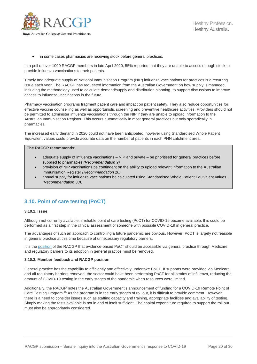

#### in some cases pharmacies are receiving stock before general practices.

In a poll of over 1000 RACGP members in late April 2020, 55% reported that they are unable to access enough stock to provide influenza vaccinations to their patients.

Timely and adequate supply of National Immunisation Program (NIP) influenza vaccinations for practices is a recurring issue each year. The RACGP has requested information from the Australian Government on how supply is managed, including the methodology used to calculate demand/supply and distribution planning, to support discussions to improve access to influenza vaccinations in the future.

Pharmacy vaccination programs fragment patient care and impact on patient safety. They also reduce opportunities for effective vaccine counselling as well as opportunistic screening and preventive healthcare activities. Providers should not be permitted to administer influenza vaccinations through the NIP if they are unable to upload information to the Australian Immunisation Register. This occurs automatically in most general practices but only sporadically in pharmacies.

The increased early demand in 2020 could not have been anticipated, however using Standardised Whole Patient Equivalent values could provide accurate data on the number of patients in each PHN catchment area.

#### **The RACGP recommends:**

- adequate supply of influenza vaccinations NIP and private be prioritised for general practices before supplied to pharmacies *(Recommendation 9)*
- provision of NIP vaccinations be contingent on the ability to upload relevant information to the Australian Immunisation Register *(Recommendation 10)*
- annual supply for influenza vaccinations be calculated using Standardised Whole Patient Equivalent values. *(Recommendation 30)*.

# **3.10. Point of care testing (PoCT)**

#### **3.10.1. Issue**

Although not currently available, if reliable point of care testing (PoCT) for COVID-19 became available, this could be performed as a first step in the clinical assessment of someone with possible COVID-19 in general practice.

The advantages of such an approach to controlling a future pandemic are obvious. However, PoCT is largely not feasible in general practice at this time because of unnecessary regulatory barriers.

It is the [position](https://www.racgp.org.au/advocacy/position-statements/view-all-position-statements/clinical-and-practice-management/point-of-care-testing) of the RACGP that evidence-based PoCT should be accessible via general practice through Medicare and regulatory barriers to its adoption in general practice must be removed.

#### **3.10.2. Member feedback and RACGP position**

General practice has the capability to efficiently and effectively undertake PoCT. If supports were provided via Medicare and all regulatory barriers removed, the sector could have been performing PoCT for all strains of influenza, reducing the amount of COVID-19 testing in the early stages of the pandemic when resources were limited.

Additionally, the RACGP notes the Australian Government's announcement of funding for a COVID-19 Remote Point of Care Testing Program.<sup>10</sup> As the program is in the early stages of roll out, it is difficult to provide comment. However, there is a need to consider issues such as staffing capacity and training, appropriate facilities and availability of testing. Simply making the tests available is not in and of itself sufficient. The capital expenditure required to support the roll out must also be appropriately considered.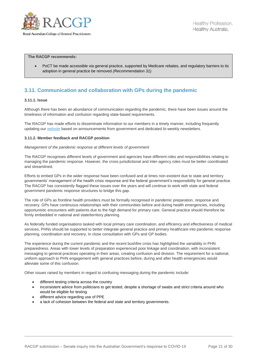

#### **The RACGP recommends:**

 PoCT be made accessible via general practice, supported by Medicare rebates, and regulatory barriers to its adoption in general practice be removed *(Recommendation 31)*.

# **3.11. Communication and collaboration with GPs during the pandemic**

#### **3.11.1. Issue**

Although there has been an abundance of communication regarding the pandemic, there have been issues around the timeliness of information and confusion regarding state-based requirements.

The RACGP has made efforts to disseminate information to our members in a timely manner, including frequently updating our [website](https://www.racgp.org.au/coronavirus) based on announcements from government and dedicated bi-weekly newsletters.

#### **3.11.2. Member feedback and RACGP position**

#### *Management of the pandemic response at different levels of government*

The RACGP recognises different levels of government and agencies have different roles and responsibilities relating to managing the pandemic response. However, the cross-jurisdictional and inter-agency roles must be better coordinated and streamlined.

Efforts to embed GPs in the wider response have been confused and at times non-existent due to state and territory governments' management of the health crisis response and the federal government's responsibility for general practice. The RACGP has consistently flagged these issues over the years and will continue to work with state and federal government pandemic response structures to bridge this gap.

The role of GPs as frontline health providers must be formally recognised in pandemic preparation, response and recovery. GPs have continuous relationships with their communities before and during health emergencies, including opportunistic encounters with patients due to the high demand for primary care. General practice should therefore be firmly embedded in national and state/territory planning.

As federally funded organisations tasked with local primary care coordination, and efficiency and effectiveness of medical services, PHNs should be supported to better integrate general practice and primary healthcare into pandemic response planning, coordination and recovery, in close consultation with GPs and GP bodies.

The experience during the current pandemic and the recent bushfire crisis has highlighted the variability in PHN preparedness. Areas with lower levels of preparation experienced poor linkage and coordination, with inconsistent messaging to general practices operating in their areas, creating confusion and division. The requirement for a national, uniform approach to PHN engagement with general practices before, during and after health emergencies would alleviate some of this confusion.

Other issues raised by members in regard to confusing messaging during the pandemic include:

- different testing criteria across the country
- inconsistent advice from politicians to get tested, despite a shortage of swabs and strict criteria around who would be eligible for testing
- different advice regarding use of PPE
- a lack of cohesion between the federal and state and territory governments.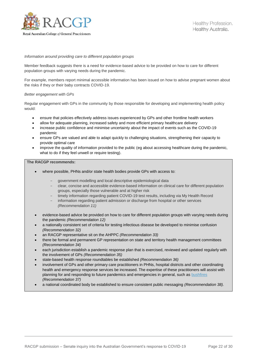

#### *Information around providing care to different population groups*

Member feedback suggests there is a need for evidence-based advice to be provided on how to care for different population groups with varying needs during the pandemic.

For example, members report minimal accessible information has been issued on how to advise pregnant women about the risks if they or their baby contracts COVID-19.

#### *Better engagement with GPs*

Regular engagement with GPs in the community by those responsible for developing and implementing health policy would:

- ensure that policies effectively address issues experienced by GPs and other frontline health workers
- allow for adequate planning, increased safety and more efficient primary healthcare delivery
- increase public confidence and minimise uncertainty about the impact of events such as the COVID-19 pandemic
- ensure GPs are valued and able to adapt quickly to challenging situations, strengthening their capacity to provide optimal care
- improve the quality of information provided to the public (eg about accessing healthcare during the pandemic, what to do if they feel unwell or require testing).

#### **The RACGP recommends:**

- where possible, PHNs and/or state health bodies provide GPs with access to:
	- government modelling and local descriptive epidemiological data
	- clear, concise and accessible evidence-based information on clinical care for different population groups, especially those vulnerable and at higher risk
	- timely information regarding patient COVID-19 test results, including via My Health Record
	- information regarding patient admission or discharge from hospital or other services *(Recommendation 11)*
- evidence-based advice be provided on how to care for different population groups with varying needs during the pandemic *(Recommendation 12)*
- a nationally consistent set of criteria for testing infectious disease be developed to minimise confusion *(Recommendation 32)*
- an RACGP representative sit on the AHPPC *(Recommendation 33)*
- there be formal and permanent GP representation on state and territory health management committees *(Recommendation 34)*
- each jurisdiction establish a pandemic response plan that is exercised, reviewed and updated regularly with the involvement of GPs *(Recommendation 35)*
- state-based health response roundtables be established *(Recommendation 36)*
- involvement of GPs and other primary care practitioners in PHNs, hospital districts and other coordinating health and emergency response services be increased. The expertise of these practitioners will assist with planning for and responding to future pandemics and emergencies in general, such as **bushfires** *(Recommendation 37)*
- a national coordinated body be established to ensure consistent public messaging *(Recommendation 38)*.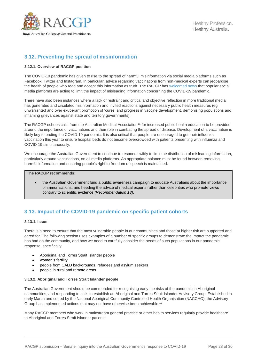

# **3.12. Preventing the spread of misinformation**

#### **3.12.1. Overview of RACGP position**

The COVID-19 pandemic has given to rise to the spread of harmful misinformation via social media platforms such as Facebook, Twitter and Instagram. In particular, advice regarding vaccinations from non-medical experts can jeopardise the health of people who read and accept this information as truth. The RACGP has [welcomed news](https://www.racgp.org.au/gp-news/media-releases/2020-media-releases/may-2020/racgp-welcomes-social-media-platforms-acting-on-co) that popular social media platforms are acting to limit the impact of misleading information concerning the COVID-19 pandemic.

There have also been instances where a lack of restraint and critical and objective reflection in more traditional media has generated and circulated misinformation and invited reactions against necessary public health measures (eg unwarranted and over exuberant promotion of 'cures' and progress in vaccine development, demonising populations and inflaming grievances against state and territory governments).

The RACGP echoes calls from the Australian Medical Association<sup>11</sup> for increased public health education to be provided around the importance of vaccinations and their role in combating the spread of disease. Development of a vaccination is likely key to ending the COVID-19 pandemic. It is also critical that people are encouraged to get their influenza vaccination this year to ensure hospital beds do not become overcrowded with patients presenting with influenza and COVID-19 simultaneously.

We encourage the Australian Government to continue to respond swiftly to limit the distribution of misleading information, particularly around vaccinations, on all media platforms. An appropriate balance must be found between removing harmful information and ensuring people's right to freedom of speech is maintained.

#### **The RACGP recommends:**

 the Australian Government fund a public awareness campaign to educate Australians about the importance of immunisations, and heeding the advice of medical experts rather than celebrities who promote views contrary to scientific evidence *(Recommendation 13)*.

# **3.13. Impact of the COVID-19 pandemic on specific patient cohorts**

#### **3.13.1. Issue**

There is a need to ensure that the most vulnerable people in our communities and those at higher risk are supported and cared for. The following section uses examples of a number of specific groups to demonstrate the impact the pandemic has had on the community, and how we need to carefully consider the needs of such populations in our pandemic response, specifically:

- Aboriginal and Torres Strait Islander people
- women's fertility
- people from CALD backgrounds, refugees and asylum seekers
- people in rural and remote areas.

#### **3.13.2. Aboriginal and Torres Strait Islander people**

The Australian Government should be commended for recognising early the risks of the pandemic in Aboriginal communities, and responding to calls to establish an Aboriginal and Torres Strait Islander Advisory Group. Established in early March and co-led by the National Aboriginal Community Controlled Health Organisation (NACCHO), the Advisory Group has implemented actions that may not have otherwise been achievable.<sup>12</sup>

Many RACGP members who work in mainstream general practice or other health services regularly provide healthcare to Aboriginal and Torres Strait Islander patients.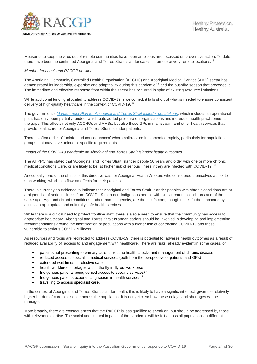

Measures to keep the virus out of remote communities have been ambitious and focussed on preventive action. To date, there have been no confirmed Aboriginal and Torres Strait Islander cases in remote or very remote locations.<sup>13</sup>

#### *Member feedback and RACGP position*

The Aboriginal Community Controlled Health Organisation (ACCHO) and Aboriginal Medical Service (AMS) sector has demonstrated its leadership, expertise and adaptability during this pandemic, <sup>14</sup> and the bushfire season that preceded it. The immediate and effective response from within the sector has occurred in spite of existing resource limitations.

While additional funding allocated to address COVID-19 is welcomed, it falls short of what is needed to ensure consistent delivery of high-quality healthcare in the context of COVID-19. 15

The government's *[Management Plan for Aboriginal and Torres Strait Islander populations](https://www.health.gov.au/resources/publications/management-plan-for-aboriginal-and-torres-strait-islander-populations)*, which includes an operational plan, has only been partially funded, which puts added pressure on organisations and individual health practitioners to fill the gaps. This affects not only ACCHOs and AMSs, but also those GPs in mainstream and other health services that provide healthcare for Aboriginal and Torres Strait Islander patients.

There is often a risk of 'unintended consequences' where policies are implemented rapidly, particularly for population groups that may have unique or specific requirements.

#### *Impact of the COVID-19 pandemic on Aboriginal and Torres Strait Islander health outcomes*

The AHPPC has stated that 'Aboriginal and Torres Strait Islander people 50 years and older with one or more chronic medical conditions...are, or are likely to be, at higher risk of serious illness if they are infected with COVID-19'.<sup>16</sup>

Anecdotally, one of the effects of this directive was for Aboriginal Health Workers who considered themselves at risk to stop working, which has flow-on effects for their patients.

There is currently no evidence to indicate that Aboriginal and Torres Strait Islander peoples with chronic conditions are at a higher risk of serious illness from COVID-19 than non-Indigenous people with similar chronic conditions and of the same age. Age and chronic conditions, rather than Indigeneity, are the risk factors, though this is further impacted by access to appropriate and culturally safe health services.

While there is a critical need to protect frontline staff, there is also a need to ensure that the community has access to appropriate healthcare. Aboriginal and Torres Strait Islander leaders should be involved in developing and implementing recommendations around the identification of populations with a higher risk of contracting COVID-19 and those vulnerable to serious COVID-19 illness.

As resources and focus are redirected to address COVID-19, there is potential for adverse health outcomes as a result of reduced availability of, access to and engagement with healthcare. There are risks, already evident in some cases, of

- patients not presenting to primary care for routine health checks and management of chronic disease
- reduced access to specialist medical services (both from the perspective of patients and GPs)
- extended wait times for elective care
- health workforce shortages within the fly-in-fly-out workforce
- Indigenous patients being denied access to specific services<sup>17</sup>
- $\bullet$  Indigenous patients experiencing racism in health services<sup>17</sup>
- travelling to access specialist care.

In the context of Aboriginal and Torres Strait Islander health, this is likely to have a significant effect, given the relatively higher burden of chronic disease across the population. It is not yet clear how these delays and shortages will be managed.

More broadly, there are consequences that the RACGP is less qualified to speak on, but should be addressed by those with relevant expertise. The social and cultural impacts of the pandemic will be felt across all populations in different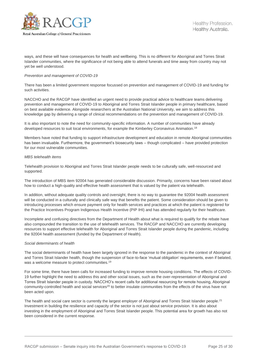

ways, and these will have consequences for health and wellbeing. This is no different for Aboriginal and Torres Strait Islander communities, where the significance of not being able to attend funerals and time away from country may not yet be well understood.

#### *Prevention and management of COVID-19*

There has been a limited government response focussed on prevention and management of COVID-19 and funding for such activities.

NACCHO and the RACGP have identified an urgent need to provide practical advice to healthcare teams delivering prevention and management of COVID-19 to Aboriginal and Torres Strait Islander people in primary healthcare, based on best available evidence. Alongside researchers at the Australian National University, we aim to address this knowledge gap by delivering a range of clinical recommendations on the prevention and management of COVID-19.

It is also important to note the need for community-specific information. A number of communities have already developed resources to suit local environments, for example the Kimberley Coronavirus Animation.<sup>18</sup>

Members have noted that funding to support infrastructure development and education in remote Aboriginal communities has been invaluable. Furthermore, the government's biosecurity laws – though complicated – have provided protection for our most vulnerable communities.

#### *MBS telehealth items*

Telehealth provision to Aboriginal and Torres Strait Islander people needs to be culturally safe, well-resourced and supported.

The introduction of MBS item 92004 has generated considerable discussion. Primarily, concerns have been raised about how to conduct a high-quality and effective health assessment that is valued by the patient via telehealth.

In addition, without adequate quality controls and oversight, there is no way to guarantee the 92004 health assessment will be conducted in a culturally and clinically safe way that benefits the patient. Some consideration should be given to introducing processes which ensure payment only for health services and practices at which the patient is registered for the Practice Incentives Program Indigenous Health Incentive (PIP IHI) and has attended regularly for their healthcare.

Incomplete and confusing directives from the Department of Health about what is required to qualify for the rebate have also compounded the transition to the use of telehealth services. The RACGP and NACCHO are currently developing resources to support effective telehealth for Aboriginal and Torres Strait Islander people during the pandemic, including the 92004 health assessment (funded by the Department of Health).

#### *Social determinants of health*

The social determinants of health have been largely ignored in the response to the pandemic in the context of Aboriginal and Torres Strait Islander health, though the suspension of face-to-face 'mutual obligation' requirements, even if belated, was a welcome measure to protect communities.<sup>19</sup>

For some time, there have been calls for increased funding to improve remote housing conditions. The effects of COVID-19 further highlight the need to address this and other social issues, such as the over-representation of Aboriginal and Torres Strait Islander people in custody. NACCHO's recent calls for additional resourcing for remote housing, Aboriginal community-controlled health and social services<sup>20</sup> to better insulate communities from the effects of the virus have not been acted upon.

The health and social care sector is currently the largest employer of Aboriginal and Torres Strait Islander people.<sup>21</sup> Investment in building the resilience and capacity of the sector is not just about service provision. It is also about investing in the employment of Aboriginal and Torres Strait Islander people. This potential area for growth has also not been considered in the current response.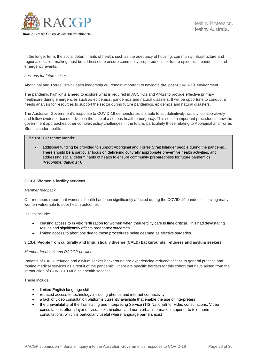

In the longer term, the social determinants of health, such as the adequacy of housing, community infrastructure and regional decision-making must be addressed to ensure community preparedness for future epidemics, pandemics and emergency events.

#### *Lessons for future crises*

Aboriginal and Torres Strait Health leadership will remain important to navigate the 'post-COVID-19' environment.

The pandemic highlights a need to explore what is required in ACCHOs and AMSs to provide effective primary healthcare during emergencies such as epidemics, pandemics and natural disasters. It will be opportune to conduct a needs analysis for resources to support the sector during future pandemics, epidemics and natural disasters.

The Australian Government's response to COVID-19 demonstrates it is able to act definitively, rapidly, collaboratively and follow evidence-based advice in the face of a serious health emergency. This sets an important precedent in how the government approaches other complex policy challenges in the future, particularly those relating to Aboriginal and Torres Strait Islander health.

#### **The RACGP recommends:**

 additional funding be provided to support Aboriginal and Torres Strait Islander people during the pandemic. There should be a particular focus on delivering culturally appropriate preventive health activities, and addressing social determinants of health to ensure community preparedness for future pandemics *(Recommendation 14)*.

#### **3.13.3. Women's fertility services**

#### *Member feedback*

Our members report that women's health has been significantly affected during the COVID-19 pandemic, leaving many women vulnerable to poor health outcomes.

Issues include:

- ceasing access to in vitro fertilisation for women when their fertility care is time-critical. This had devastating results and significantly affects pregnancy outcomes
- limited access to abortions due to these procedures being deemed as elective surgeries.

#### **3.13.4. People from culturally and linguistically diverse (CALD) backgrounds, refugees and asylum seekers**

#### *Member feedback and RACGP position*

Patients of CALD, refugee and asylum seeker background are experiencing reduced access to general practice and routine medical services as a result of the pandemic. There are specific barriers for this cohort that have arisen from the introduction of COVID-19 MBS telehealth services.

These include:

- limited English language skills
- reduced access to technology including phones and internet connectivity
- a lack of video consultation platforms currently available that enable the use of interpreters
- the unavailability of the Translating and Interpreting Service (TIS National) for video consultations. Video consultations offer a layer of 'visual examination' and non-verbal information, superior to telephone consultations, which is particularly useful where language barriers exist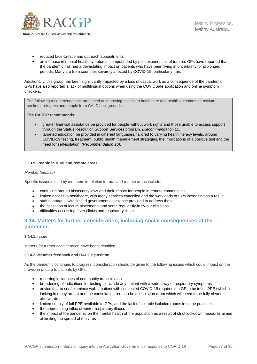

- reduced face-to-face and outreach appointments
- an increase in mental health symptoms, compounded by past experiences of trauma. GPs have reported that the pandemic has had a devastating impact on patients who have been living in uncertainty for prolonged periods. Many are from countries severely affected by COVID-19, particularly Iran.

Additionally, this group has been significantly impacted by a loss of casual work as a consequence of the pandemic. GPs have also reported a lack of multilingual options when using the COVIDSafe application and online symptom checkers.

The following recommendations are aimed at improving access to healthcare and health outcomes for asylum seekers, refugees and people from CALD backgrounds.

**The RACGP recommends:**

- greater financial assistance be provided for people without work rights and those unable to access support through the Status Resolution Support Services program. *(Recommendation 15)*
- targeted education be provided in different languages, tailored to varying health literacy levels, around COVID-19 testing, treatment, public health management strategies, the implications of a positive test and the need for self-isolation. *(Recommendation 16)*.

#### **3.13.5. People in rural and remote areas**

#### *Member feedback*

Specific issues raised by members in relation to rural and remote areas include:

- confusion around biosecurity laws and their impact for people in remote communities
- limited access to healthcare, with many services cancelled and the workloads of GPs increasing as a result
- staff shortages, with limited government assistance provided to address these
- the cessation of locum placements and some regular fly-in fly-out clinicians
- difficulties accessing fever clinics and respiratory clinics.

### **3.14. Matters for further consideration, including social consequences of the pandemic**

#### **3.14.1. Issue**

Matters for further consideration have been identified.

#### **3.14.2. Member feedback and RACGP position**

As the pandemic continues to progress, consideration should be given to the following issues which could impact on the provision of care to patients by GPs:

- recurring incidences of community transmission
- broadening of indications for testing to include any patient with a wide array of respiratory symptoms
- advice that to see/examine/swab a patient with suspected COVID-19 requires the GP to be in full PPE (which is lacking in many areas) and the consultation room to be an isolation room which will need to be fully cleaned afterwards
- limited supply of full PPE available to GPs, and the lack of suitable isolation rooms in some practices
- the approaching influx of winter respiratory illness
- the impact of the pandemic on the mental health of the population as a result of strict lockdown measures aimed at limiting the spread of the virus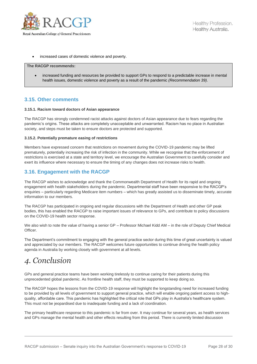

increased cases of domestic violence and poverty.

#### **The RACGP recommends:**

 increased funding and resources be provided to support GPs to respond to a predictable increase in mental health issues, domestic violence and poverty as a result of the pandemic *(Recommendation 39)*.

### **3.15. Other comments**

#### **3.15.1. Racism toward doctors of Asian appearance**

The RACGP has strongly condemned racist attacks against doctors of Asian appearance due to fears regarding the pandemic's origins. These attacks are completely unacceptable and unwarranted. Racism has no place in Australian society, and steps must be taken to ensure doctors are protected and supported.

#### **3.15.2. Potentially premature easing of restrictions**

Members have expressed concern that restrictions on movement during the COVID-19 pandemic may be lifted prematurely, potentially increasing the risk of infection in the community. While we recognise that the enforcement of restrictions is exercised at a state and territory level, we encourage the Australian Government to carefully consider and exert its influence where necessary to ensure the timing of any changes does not increase risks to health.

## **3.16. Engagement with the RACGP**

The RACGP wishes to acknowledge and thank the Commonwealth Department of Health for its rapid and ongoing engagement with health stakeholders during the pandemic. Departmental staff have been responsive to the RACGP's enquiries – particularly regarding Medicare item numbers – which has greatly assisted us to disseminate timely, accurate information to our members.

The RACGP has participated in ongoing and regular discussions with the Department of Health and other GP peak bodies, this has enabled the RACGP to raise important issues of relevance to GPs, and contribute to policy discussions on the COVID-19 health sector response.

We also wish to note the value of having a senior GP – Professor Michael Kidd AM – in the role of Deputy Chief Medical Officer.

The Department's commitment to engaging with the general practice sector during this time of great uncertainty is valued and appreciated by our members. The RACGP welcomes future opportunities to continue driving the health policy agenda in Australia by working closely with government at all levels.

# *4. Conclusion*

GPs and general practice teams have been working tirelessly to continue caring for their patients during this unprecedented global pandemic. As frontline health staff, they must be supported to keep doing so.

The RACGP hopes the lessons from the COVID-19 response will highlight the longstanding need for increased funding to be provided by all levels of government to support general practice, which will enable ongoing patient access to highquality, affordable care. This pandemic has highlighted the critical role that GPs play in Australia's healthcare system. This must not be jeopardised due to inadequate funding and a lack of coordination.

The primary healthcare response to this pandemic is far from over. It may continue for several years, as health services and GPs manage the mental health and other effects resulting from this period. There is currently limited discussion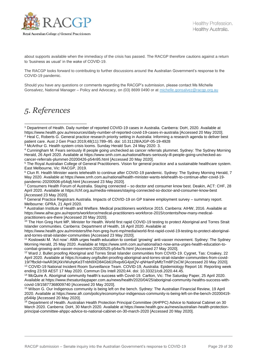

about supports available when the immediacy of the crisis has passed. The RACGP therefore cautions against a return to 'business as usual' in the wake of COVID-19.

The RACGP looks forward to contributing to further discussions around the Australian Government's response to the COVID-19 pandemic.

Should you have any questions or comments regarding the RACGP's submission, please contact Ms Michelle Gonsalvez, National Manager – Policy and Advocacy, on (03) 8699 0490 or at [michelle.gonsalvez@racgp.org.au](mailto:michelle.gonsalvez@racgp.org.au)

# *5. References*

<sup>9</sup> Australian Institute of Health and Welfare. Medical practitioners workforce 2015. Canberra: AIHW, 2016. Available at [https://www.aihw.gov.au/reports/workforce/medical-practitioners-workforce-2015/contents/how-many-medical](https://www.aihw.gov.au/reports/workforce/medical-practitioners-workforce-2015/contents/how-many-medical-practitioners-are-there)[practitioners-are-there](https://www.aihw.gov.au/reports/workforce/medical-practitioners-workforce-2015/contents/how-many-medical-practitioners-are-there) [Accessed 20 May 2020].

<sup>10</sup> The Hon Greg Hunt MP, Minister for Health. World first rapid COVID-19 testing to protect Aboriginal and Torres Strait Islander communities. Canberra: Department of Health, 16 April 2020. Available at

[https://www.health.gov.au/ministers/the-hon-greg-hunt-mp/media/world-first-rapid-covid-19-testing-to-protect-aboriginal](https://www.health.gov.au/ministers/the-hon-greg-hunt-mp/media/world-first-rapid-covid-19-testing-to-protect-aboriginal-and-torres-strait-islander-communities)[and-torres-strait-islander-communities](https://www.health.gov.au/ministers/the-hon-greg-hunt-mp/media/world-first-rapid-covid-19-testing-to-protect-aboriginal-and-torres-strait-islander-communities) [Accessed 23 May 2020].

<sup>11</sup> Koslowski M. 'Act now': AMA urges health education to combat 'growing' anti-vaxxer movement. Sydney: The Sydney Morning Herald, 25 May 2020. Available at [https://www.smh.com.au/national/act-now-ama-urges-health-education-to](https://www.smh.com.au/national/act-now-ama-urges-health-education-to-combat-growing-anti-vaxxer-movement-20200525-p54w7b.html)[combat-growing-anti-vaxxer-movement-20200525-p54w7b.html](https://www.smh.com.au/national/act-now-ama-urges-health-education-to-combat-growing-anti-vaxxer-movement-20200525-p54w7b.html) [Accessed 27 May 2020].

<sup>12</sup> Ward J. Bullet proofing Aboriginal and Torres Strait Islander communities from COVID-19. Cygnet, Tas: Croakey, 22 April 2020. Available at [https://croakey.org/bullet-proofing-aboriginal-and-torres-strait-islander-communities-from-covid-](https://croakey.org/bullet-proofing-aboriginal-and-torres-strait-islander-communities-from-covid-19/?fbclid=IwAR3KjXkVWuhpKe3TnbN9XD84Gb61Rvqv6G4jstQV-qNHanFpMfzTm8P2sCM)[19/?fbclid=IwAR3KjXkVWuhpKe3TnbN9XD84Gb61Rvqv6G4jstQV-qNHanFpMfzTm8P2sCM](https://croakey.org/bullet-proofing-aboriginal-and-torres-strait-islander-communities-from-covid-19/?fbclid=IwAR3KjXkVWuhpKe3TnbN9XD84Gb61Rvqv6G4jstQV-qNHanFpMfzTm8P2sCM) [Accessed 20 May 2020]. <sup>13</sup> COVID-19 National Incident Room Surveillance Team. COVID-19, Australia: Epidemiology Report 16: Reporting week ending 23:59 AEST 17 May 2020. Commun Dis Intell 2020;44. doi: 10.33321/cdi.2020.44.45.

<sup>14</sup> McQuire A. Aboriginal community health's success with Covid-19. Carlton, Vic: The Saturday Paper, 25 April 2020. Available a[t https://www.thesaturdaypaper.com.au/news/health/2020/04/25/aboriginal-community-healths-success-with](https://www.thesaturdaypaper.com.au/news/health/2020/04/25/aboriginal-community-healths-success-with-covid-19/15877368009740)[covid-19/15877368009740](https://www.thesaturdaypaper.com.au/news/health/2020/04/25/aboriginal-community-healths-success-with-covid-19/15877368009740) [Accessed 20 May 2020].

<sup>15</sup> Wilson G. Our Indigenous community is being left on the bench. Sydney: The Australian Financial Review, 19 April 2020. Available a[t https://www.afr.com/policy/economy/our-indigenous-community-is-being-left-on-the-bench-20200419](https://www.afr.com/policy/economy/our-indigenous-community-is-being-left-on-the-bench-20200419-p54l4p) [p54l4p](https://www.afr.com/policy/economy/our-indigenous-community-is-being-left-on-the-bench-20200419-p54l4p) [Accessed 20 May 2020].

<sup>16</sup> Department of Health. Australian Health Protection Principal Committee (AHPPC) Advice to National Cabinet on 30 March 2020. Canberra: DoH, 30 March 2020. Available at https://www.health.gov.au/news/australian-health-protectionprincipal-committee-ahppc-advice-to-national-cabinet-on-30-march-2020 [Accessed 20 May 2020].

<sup>1</sup> Department of Health. Daily number of reported COVID-19 cases in Australia. Canberra: DoH, 2020. Available at <https://www.health.gov.au/resources/daily-number-of-reported-covid-19-cases-in-australia> [Accessed 20 May 2020]. <sup>2</sup> Heal C, Roberts G. General practice research priority setting in Australia: Informing a research agenda to deliver best patient care. Aust J Gen Pract 2019;48(11):789–95. doi: 10.31128/AJGP-05-19-4928 -

<sup>&</sup>lt;sup>3</sup> McArthur G. Health system crisis looms. Sunday Herald Sun. 24 May 2020: 3.

<sup>4</sup> Cunningham M. Fears seriously ill people going unchecked as cancer referrals plummet. Sydney: The Sydney Morning Herald, 26 April 2020. Available at [https://www.smh.com.au/national/fears-seriously-ill-people-going-unchecked-as](https://www.smh.com.au/national/fears-seriously-ill-people-going-unchecked-as-cancer-referrals-plummet-20200426-p54n95.html)[cancer-referrals-plummet-20200426-p54n95.html](https://www.smh.com.au/national/fears-seriously-ill-people-going-unchecked-as-cancer-referrals-plummet-20200426-p54n95.html) [Accessed 20 May 2020].

<sup>5</sup> The Royal Australian College of General Practitioners. Vision for general practice and a sustainable healthcare system. East Melbourne, Vic: RACGP, 2019.

<sup>6</sup> Clun R. Health Minister wants telehealth to continue after COVID-19 pandemic. Sydney: The Sydney Morning Herald, 7 May 2020. Available at [https://www.smh.com.au/national/health-minister-wants-telehealth-to-continue-after-covid-19](https://www.smh.com.au/national/health-minister-wants-telehealth-to-continue-after-covid-19-pandemic-20200506-p54qfj.html) [pandemic-20200506-p54qfj.html](https://www.smh.com.au/national/health-minister-wants-telehealth-to-continue-after-covid-19-pandemic-20200506-p54qfj.html) [Accessed 23 May 2020].

<sup>7</sup> Consumers Health Forum of Australia. Staying connected – so doctor and consumer know best. Deakin, ACT: CHF, 28 April 2020. Available at<https://chf.org.au/media-releases/staying-connected-so-doctor-and-consumer-know-best> [Accessed 23 May 2020].

<sup>&</sup>lt;sup>8</sup> General Practice Registrars Australia. Impacts of COVID-19 on GP trainee employment survey – summary report. Melbourne: GPRA, 21 April 2020.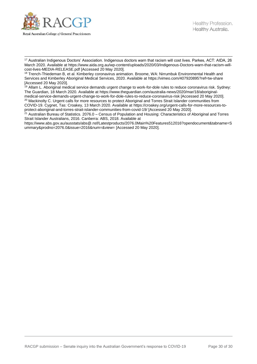

 $\overline{a}$ <sup>17</sup> Australian Indigenous Doctors' Association. Indigenous doctors warn that racism will cost lives. Parkes, ACT: AIDA, 26 March 2020. Available at [https://www.aida.org.au/wp-content/uploads/2020/03/Indigenous-Doctors-warn-that-racism-will](https://www.aida.org.au/wp-content/uploads/2020/03/Indigenous-Doctors-warn-that-racism-will-cost-lives-MEDIA-RELEASE.pdf)[cost-lives-MEDIA-RELEASE.pdf](https://www.aida.org.au/wp-content/uploads/2020/03/Indigenous-Doctors-warn-that-racism-will-cost-lives-MEDIA-RELEASE.pdf) [Accessed 20 May 2020].

<sup>18</sup> Trench-Thiedeman B, et al. Kimberley coronavirus animation. Broome, WA: Nirrumbuk Environmental Health and Services and Kimberley Aboriginal Medical Services, 2020. Available at<https://vimeo.com/407920895?ref=tw-share> [Accessed 20 May 2020].

<sup>19</sup> Allam L. Aboriginal medical service demands urgent change to work-for-dole rules to reduce coronavirus risk. Sydney: The Guardian, 18 March 2020. Available at [https://www.theguardian.com/australia-news/2020/mar/18/aboriginal](https://www.theguardian.com/australia-news/2020/mar/18/aboriginal-medical-service-demands-urgent-change-to-work-for-dole-rules-to-reduce-coronavirus-risk)[medical-service-demands-urgent-change-to-work-for-dole-rules-to-reduce-coronavirus-risk](https://www.theguardian.com/australia-news/2020/mar/18/aboriginal-medical-service-demands-urgent-change-to-work-for-dole-rules-to-reduce-coronavirus-risk) [Accessed 20 May 2020]. <sup>20</sup> Mackinolty C. Urgent calls for more resources to protect Aboriginal and Torres Strait Islander communities from COVID-19. Cygnet, Tas: Croakey, 13 March 2020. Available at [https://croakey.org/urgent-calls-for-more-resources-to](https://croakey.org/urgent-calls-for-more-resources-to-protect-aboriginal-and-torres-strait-islander-communities-from-covid-19/)[protect-aboriginal-and-torres-strait-islander-communities-from-covid-19/](https://croakey.org/urgent-calls-for-more-resources-to-protect-aboriginal-and-torres-strait-islander-communities-from-covid-19/) [Accessed 20 May 2020].

<sup>21</sup> Australian Bureau of Statistics. 2076.0 – Census of Population and Housing: Characteristics of Aboriginal and Torres Strait Islander Australians, 2016. Canberra: ABS, 2018. Available at

[https://www.abs.gov.au/ausstats/abs@.nsf/Latestproducts/2076.0Main%20Features512016?opendocument&tabname=S](https://www.abs.gov.au/ausstats/abs@.nsf/Latestproducts/2076.0Main%20Features512016?opendocument&tabname=Summary&prodno=2076.0&issue=2016&num=&view=) [ummary&prodno=2076.0&issue=2016&num=&view=](https://www.abs.gov.au/ausstats/abs@.nsf/Latestproducts/2076.0Main%20Features512016?opendocument&tabname=Summary&prodno=2076.0&issue=2016&num=&view=) [Accessed 20 May 2020].